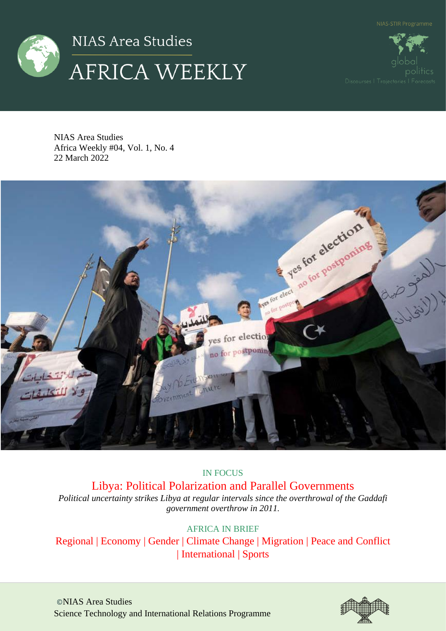

politics

NIAS Area Studies Africa Weekly #04, Vol. 1, No. 4 22 March 2022



# IN FOCUS

Libya: Political Polarization and Parallel Governments

*Political uncertainty strikes Libya at regular intervals since the overthrowal of the Gaddafi government overthrow in 2011.*

AFRICA IN BRIEF Regional | Economy | Gender | Climate Change | Migration | Peace and Conflict | International | Sports

©NIAS Area Studies Science Technology and International Relations Programme

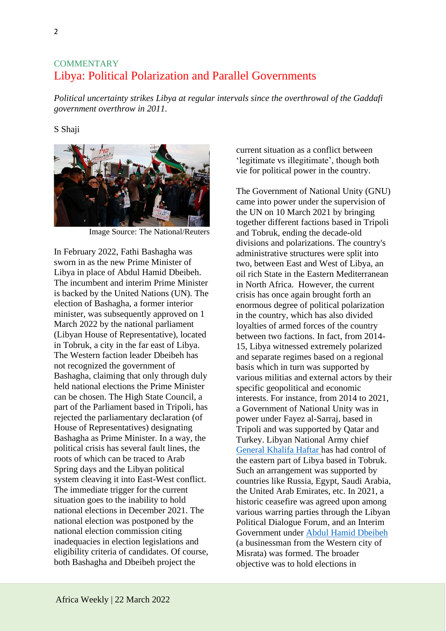# **COMMENTARY** Libya: Political Polarization and Parallel Governments

*Political uncertainty strikes Libya at regular intervals since the overthrowal of the Gaddafi government overthrow in 2011.*

# S Shaii



Image Source: The National/Reuters

In February 2022, Fathi Bashagha was sworn in as the new Prime Minister of Libya in place of Abdul Hamid Dbeibeh. The incumbent and interim Prime Minister is backed by the United Nations (UN). The election of Bashagha, a former interior minister, was subsequently approved on 1 March 2022 by the national parliament (Libyan House of Representative), located in Tobruk, a city in the far east of Libya. The Western faction leader Dbeibeh has not recognized the government of Bashagha, claiming that only through duly held national elections the Prime Minister can be chosen. The High State Council, a part of the Parliament based in Tripoli, has rejected the parliamentary declaration (of House of Representatives) designating Bashagha as Prime Minister. In a way, the political crisis has several fault lines, the roots of which can be traced to Arab Spring days and the Libyan political system cleaving it into East-West conflict. The immediate trigger for the current situation goes to the inability to hold national elections in December 2021. The national election was postponed by the national election commission citing inadequacies in election legislations and eligibility criteria of candidates. Of course, both Bashagha and Dbeibeh project the

current situation as a conflict between 'legitimate vs illegitimate', though both vie for political power in the country.

The Government of National Unity (GNU) came into power under the supervision of the UN on 10 March 2021 by bringing together different factions based in Tripoli and Tobruk, ending the decade-old divisions and polarizations. The country's administrative structures were split into two, between East and West of Libya, an oil rich State in the Eastern Mediterranean in North Africa. However, the current crisis has once again brought forth an enormous degree of political polarization in the country, which has also divided loyalties of armed forces of the country between two factions. In fact, from 2014- 15, Libya witnessed extremely polarized and separate regimes based on a regional basis which in turn was supported by various militias and external actors by their specific geopolitical and economic interests. For instance, from 2014 to 2021, a Government of National Unity was in power under Fayez al-Sarraj, based in Tripoli and was supported by Qatar and Turkey. Libyan National Army chief [General Khalifa Haftar](http://www.ipsnews.net/2020/03/ails-libyas-peace-process/) has had control of the eastern part of Libya based in Tobruk. Such an arrangement was supported by countries like Russia, Egypt, Saudi Arabia, the United Arab Emirates, etc. In 2021, a historic ceasefire was agreed upon among various warring parties through the Libyan Political Dialogue Forum, and an Interim Government under [Abdul Hamid Dbeibeh](https://en.wikipedia.org/wiki/Abdul_Hamid_Dbeibeh) (a businessman from the Western city of Misrata) was formed. The broader objective was to hold elections in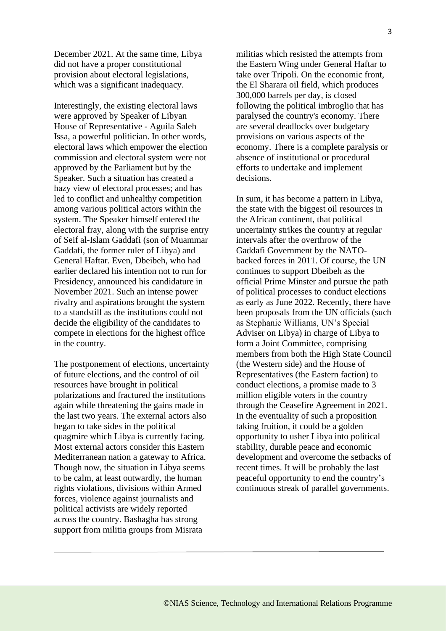December 2021. At the same time, Libya did not have a proper constitutional provision about electoral legislations, which was a significant inadequacy.

Interestingly, the existing electoral laws were approved by Speaker of Libyan House of Representative - Aguila Saleh Issa, a powerful politician. In other words, electoral laws which empower the election commission and electoral system were not approved by the Parliament but by the Speaker. Such a situation has created a hazy view of electoral processes; and has led to conflict and unhealthy competition among various political actors within the system. The Speaker himself entered the electoral fray, along with the surprise entry of Seif al-Islam Gaddafi (son of Muammar Gaddafi, the former ruler of Libya) and General Haftar. Even, Dbeibeh, who had earlier declared his intention not to run for Presidency, announced his candidature in November 2021. Such an intense power rivalry and aspirations brought the system to a standstill as the institutions could not decide the eligibility of the candidates to compete in elections for the highest office in the country.

The postponement of elections, uncertainty of future elections, and the control of oil resources have brought in political polarizations and fractured the institutions again while threatening the gains made in the last two years. The external actors also began to take sides in the political quagmire which Libya is currently facing. Most external actors consider this Eastern Mediterranean nation a gateway to Africa. Though now, the situation in Libya seems to be calm, at least outwardly, the human rights violations, divisions within Armed forces, violence against journalists and political activists are widely reported across the country. Bashagha has strong support from militia groups from Misrata

militias which resisted the attempts from the Eastern Wing under General Haftar to take over Tripoli. On the economic front, the El Sharara oil field, which produces 300,000 barrels per day, is closed following the political imbroglio that has paralysed the country's economy. There are several deadlocks over budgetary provisions on various aspects of the economy. There is a complete paralysis or absence of institutional or procedural efforts to undertake and implement decisions.

In sum, it has become a pattern in Libya, the state with the biggest oil resources in the African continent, that political uncertainty strikes the country at regular intervals after the overthrow of the Gaddafi Government by the NATObacked forces in 2011. Of course, the UN continues to support Dbeibeh as the official Prime Minster and pursue the path of political processes to conduct elections as early as June 2022. Recently, there have been proposals from the UN officials (such as Stephanie Williams, UN's Special Adviser on Libya) in charge of Libya to form a Joint Committee, comprising members from both the High State Council (the Western side) and the House of Representatives (the Eastern faction) to conduct elections, a promise made to 3 million eligible voters in the country through the Ceasefire Agreement in 2021. In the eventuality of such a proposition taking fruition, it could be a golden opportunity to usher Libya into political stability, durable peace and economic development and overcome the setbacks of recent times. It will be probably the last peaceful opportunity to end the country's continuous streak of parallel governments.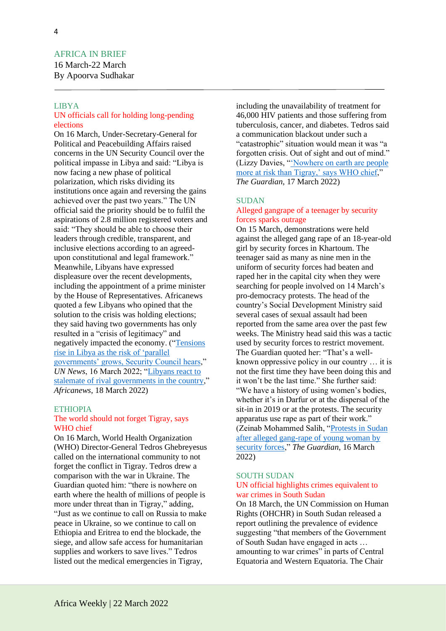# AFRICA IN BRIEF

16 March-22 March By Apoorva Sudhakar

# LIBYA

# UN officials call for holding long-pending elections

On 16 March, Under-Secretary-General for Political and Peacebuilding Affairs raised concerns in the UN Security Council over the political impasse in Libya and said: "Libya is now facing a new phase of political polarization, which risks dividing its institutions once again and reversing the gains achieved over the past two years." The UN official said the priority should be to fulfil the aspirations of 2.8 million registered voters and said: "They should be able to choose their leaders through credible, transparent, and inclusive elections according to an agreedupon constitutional and legal framework." Meanwhile, Libyans have expressed displeasure over the recent developments, including the appointment of a prime minister by the House of Representatives. Africanews quoted a few Libyans who opined that the solution to the crisis was holding elections; they said having two governments has only resulted in a "crisis of legitimacy" and negatively impacted the economy. (["Tensions](https://news.un.org/en/story/2022/03/1114082)  [rise in Libya as the risk of 'parallel](https://news.un.org/en/story/2022/03/1114082)  [governments' grows, Security Council hears,](https://news.un.org/en/story/2022/03/1114082)" *UN News*, 16 March 2022; ["Libyans react to](https://www.africanews.com/2022/03/18/libyans-react-to-stalemate-of-rival-governments-in-the-country/)  [stalemate of rival governments in the country,](https://www.africanews.com/2022/03/18/libyans-react-to-stalemate-of-rival-governments-in-the-country/)" *Africanews*, 18 March 2022)

#### ETHIOPIA

# The world should not forget Tigray, says WHO chief

On 16 March, World Health Organization (WHO) Director-General Tedros Ghebreyesus called on the international community to not forget the conflict in Tigray. Tedros drew a comparison with the war in Ukraine. The Guardian quoted him: "there is nowhere on earth where the health of millions of people is more under threat than in Tigray," adding, "Just as we continue to call on Russia to make peace in Ukraine, so we continue to call on Ethiopia and Eritrea to end the blockade, the siege, and allow safe access for humanitarian supplies and workers to save lives." Tedros listed out the medical emergencies in Tigray,

including the unavailability of treatment for 46,000 HIV patients and those suffering from tuberculosis, cancer, and diabetes. Tedros said a communication blackout under such a "catastrophic" situation would mean it was "a forgotten crisis. Out of sight and out of mind." (Lizzy Davies, ["'Nowhere on earth are](https://www.theguardian.com/global-development/2022/mar/17/nowhere-on-earth-are-people-more-at-risk-than-tigray-says-who-chief) people [more at risk than Tigray,' says WHO chief,](https://www.theguardian.com/global-development/2022/mar/17/nowhere-on-earth-are-people-more-at-risk-than-tigray-says-who-chief)" *The Guardian*, 17 March 2022)

# SUDAN

# Alleged gangrape of a teenager by security forces sparks outrage

On 15 March, demonstrations were held against the alleged gang rape of an 18-year-old girl by security forces in Khartoum. The teenager said as many as nine men in the uniform of security forces had beaten and raped her in the capital city when they were searching for people involved on 14 March's pro-democracy protests. The head of the country's Social Development Ministry said several cases of sexual assault had been reported from the same area over the past few weeks. The Ministry head said this was a tactic used by security forces to restrict movement. The Guardian quoted her: "That's a wellknown oppressive policy in our country … it is not the first time they have been doing this and it won't be the last time." She further said: "We have a history of using women's bodies, whether it's in Darfur or at the dispersal of the sit-in in 2019 or at the protests. The security apparatus use rape as part of their work." (Zeinab Mohammed Salih, ["Protests in Sudan](https://www.theguardian.com/global-development/2022/mar/16/protests-in-sudan-after-alleged-gang-rape-of-young-woman-by-security-forces)  [after alleged gang-rape of young woman by](https://www.theguardian.com/global-development/2022/mar/16/protests-in-sudan-after-alleged-gang-rape-of-young-woman-by-security-forces)  [security forces,](https://www.theguardian.com/global-development/2022/mar/16/protests-in-sudan-after-alleged-gang-rape-of-young-woman-by-security-forces)" *The Guardian*, 16 March 2022)

# SOUTH SUDAN

# UN official highlights crimes equivalent to war crimes in South Sudan

On 18 March, the UN Commission on Human Rights (OHCHR) in South Sudan released a report outlining the prevalence of evidence suggesting "that members of the Government of South Sudan have engaged in acts … amounting to war crimes" in parts of Central Equatoria and Western Equatoria. The Chair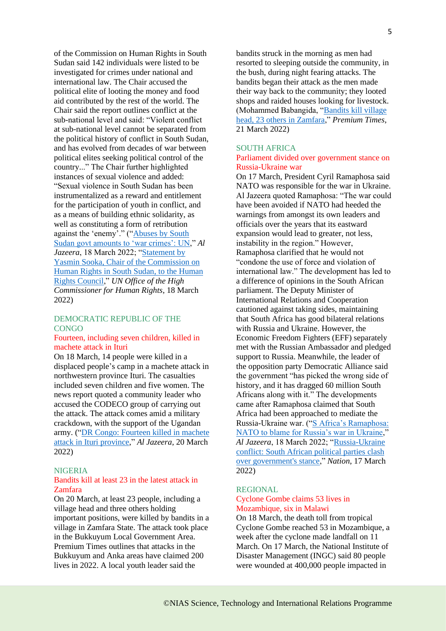of the Commission on Human Rights in South Sudan said 142 individuals were listed to be investigated for crimes under national and international law. The Chair accused the political elite of looting the money and food aid contributed by the rest of the world. The Chair said the report outlines conflict at the sub-national level and said: "Violent conflict at sub-national level cannot be separated from the political history of conflict in South Sudan, and has evolved from decades of war between political elites seeking political control of the country..." The Chair further highlighted instances of sexual violence and added: "Sexual violence in South Sudan has been instrumentalized as a reward and entitlement for the participation of youth in conflict, and as a means of building ethnic solidarity, as well as constituting a form of retribution against the 'enemy'." (["Abuses by South](https://www.aljazeera.com/news/2022/3/18/un-south-sudan-govt-abuses-amounting-to-war-crimes)  [Sudan govt amounts to 'war crimes': UN,](https://www.aljazeera.com/news/2022/3/18/un-south-sudan-govt-abuses-amounting-to-war-crimes)" *Al Jazeera*, 18 March 2022; ["Statement by](https://www.ohchr.org/en/statements/2022/03/statement-yasmin-sooka-chair-commission-human-rights-south-sudan-human-rights)  [Yasmin Sooka, Chair of the Commission on](https://www.ohchr.org/en/statements/2022/03/statement-yasmin-sooka-chair-commission-human-rights-south-sudan-human-rights)  [Human Rights in South Sudan, to the Human](https://www.ohchr.org/en/statements/2022/03/statement-yasmin-sooka-chair-commission-human-rights-south-sudan-human-rights)  [Rights Council,](https://www.ohchr.org/en/statements/2022/03/statement-yasmin-sooka-chair-commission-human-rights-south-sudan-human-rights)" *UN Office of the High Commissioner for Human Rights*, 18 March 2022)

# DEMOCRATIC REPUBLIC OF THE **CONGO**

#### Fourteen, including seven children, killed in machete attack in Ituri

On 18 March, 14 people were killed in a displaced people's camp in a machete attack in northwestern province Ituri. The casualties included seven children and five women. The news report quoted a community leader who accused the CODECO group of carrying out the attack. The attack comes amid a military crackdown, with the support of the Ugandan army. (["DR Congo: Fourteen killed in machete](https://www.aljazeera.com/news/2022/3/20/armed-group-in-dr-congo-kills-fourteen-people-in-machete-attack)  [attack in Ituri province,](https://www.aljazeera.com/news/2022/3/20/armed-group-in-dr-congo-kills-fourteen-people-in-machete-attack)" *Al Jazeera*, 20 March 2022)

#### NIGERIA

# Bandits kill at least 23 in the latest attack in Zamfara

On 20 March, at least 23 people, including a village head and three others holding important positions, were killed by bandits in a village in Zamfara State. The attack took place in the Bukkuyum Local Government Area. Premium Times outlines that attacks in the Bukkuyum and Anka areas have claimed 200 lives in 2022. A local youth leader said the

bandits struck in the morning as men had resorted to sleeping outside the community, in the bush, during night fearing attacks. The bandits began their attack as the men made their way back to the community; they looted shops and raided houses looking for livestock. (Mohammed Babangida, "Bandits kill village [head, 23 others in Zamfara,](https://www.premiumtimesng.com/news/headlines/518512-bandits-kill-village-head-23-others-in-zamfara.html)" *Premium Times*, 21 March 2022)

#### SOUTH AFRICA

#### Parliament divided over government stance on Russia-Ukraine war

On 17 March, President Cyril Ramaphosa said NATO was responsible for the war in Ukraine. Al Jazeera quoted Ramaphosa: "The war could have been avoided if NATO had heeded the warnings from amongst its own leaders and officials over the years that its eastward expansion would lead to greater, not less, instability in the region." However, Ramaphosa clarified that he would not "condone the use of force and violation of international law." The development has led to a difference of opinions in the South African parliament. The Deputy Minister of International Relations and Cooperation cautioned against taking sides, maintaining that South Africa has good bilateral relations with Russia and Ukraine. However, the Economic Freedom Fighters (EFF) separately met with the Russian Ambassador and pledged support to Russia. Meanwhile, the leader of the opposition party Democratic Alliance said the government "has picked the wrong side of history, and it has dragged 60 million South Africans along with it." The developments came after Ramaphosa claimed that South Africa had been approached to mediate the Russia-Ukraine war. (["S Africa's Ramaphosa:](https://www.aljazeera.com/news/2022/3/18/update-1-s-africas-ramaphosa-blames-nato-for-russias-war-in-ukraine)  [NATO to blame for Russia's war in Ukraine,](https://www.aljazeera.com/news/2022/3/18/update-1-s-africas-ramaphosa-blames-nato-for-russias-war-in-ukraine)" *Al Jazeera*, 18 March 2022; ["Russia-Ukraine](https://nation.africa/kenya/news/africa/-russia-ukraine-conflict-south-african-political-parties-clash-over-government-s-stance--3751776)  [conflict: South African political parties clash](https://nation.africa/kenya/news/africa/-russia-ukraine-conflict-south-african-political-parties-clash-over-government-s-stance--3751776)  [over government's stance,](https://nation.africa/kenya/news/africa/-russia-ukraine-conflict-south-african-political-parties-clash-over-government-s-stance--3751776)" *Nation*, 17 March 2022)

# REGIONAL

### Cyclone Gombe claims 53 lives in Mozambique, six in Malawi

On 18 March, the death toll from tropical Cyclone Gombe reached 53 in Mozambique, a week after the cyclone made landfall on 11 March. On 17 March, the National Institute of Disaster Management (INGC) said 80 people were wounded at 400,000 people impacted in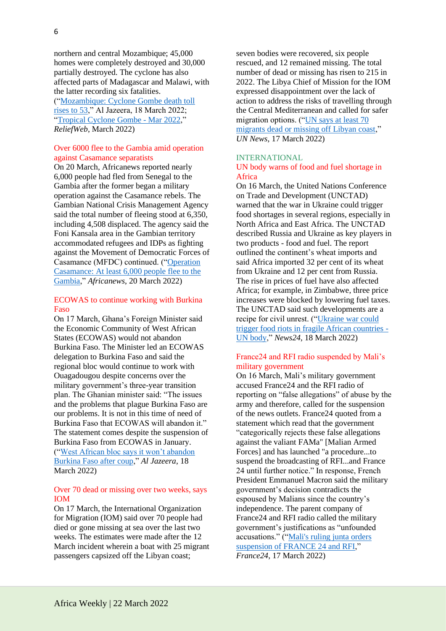northern and central Mozambique; 45,000 homes were completely destroyed and 30,000 partially destroyed. The cyclone has also affected parts of Madagascar and Malawi, with the latter recording six fatalities.

(["Mozambique: Cyclone Gombe death toll](https://www.aljazeera.com/news/2022/3/18/mozambique-cyclone-gombe-death-toll-rises-to-53)  [rises to 53,](https://www.aljazeera.com/news/2022/3/18/mozambique-cyclone-gombe-death-toll-rises-to-53)" Al Jazeera, 18 March 2022; ["Tropical Cyclone Gombe -](https://reliefweb.int/disaster/tc-2022-000184-moz) Mar 2022," *ReliefWeb*, March 2022)

# Over 6000 flee to the Gambia amid operation against Casamance separatists

On 20 March, Africanews reported nearly 6,000 people had fled from Senegal to the Gambia after the former began a military operation against the Casamance rebels. The Gambian National Crisis Management Agency said the total number of fleeing stood at 6,350, including 4,508 displaced. The agency said the Foni Kansala area in the Gambian territory accommodated refugees and IDPs as fighting against the Movement of Democratic Forces of Casamance (MFDC) continued. (["Operation](https://www.africanews.com/2022/03/20/operation-casamance-at-least-6-000-people-flee-to-the-gambia/)  [Casamance: At least 6,000 people flee to the](https://www.africanews.com/2022/03/20/operation-casamance-at-least-6-000-people-flee-to-the-gambia/)  [Gambia,](https://www.africanews.com/2022/03/20/operation-casamance-at-least-6-000-people-flee-to-the-gambia/)" *Africanews*, 20 March 2022)

# ECOWAS to continue working with Burkina Faso

On 17 March, Ghana's Foreign Minister said the Economic Community of West African States (ECOWAS) would not abandon Burkina Faso. The Minister led an ECOWAS delegation to Burkina Faso and said the regional bloc would continue to work with Ouagadougou despite concerns over the military government's three-year transition plan. The Ghanian minister said: "The issues and the problems that plague Burkina Faso are our problems. It is not in this time of need of Burkina Faso that ECOWAS will abandon it." The statement comes despite the suspension of Burkina Faso from ECOWAS in January. (["West African bloc says it won't abandon](https://www.aljazeera.com/news/2022/3/18/west-african-bloc-says-will-not-abandon-burkina-faso-after-coup)  [Burkina Faso after coup,](https://www.aljazeera.com/news/2022/3/18/west-african-bloc-says-will-not-abandon-burkina-faso-after-coup)" *Al Jazeera*, 18 March 2022)

# Over 70 dead or missing over two weeks, says IOM

On 17 March, the International Organization for Migration (IOM) said over 70 people had died or gone missing at sea over the last two weeks. The estimates were made after the 12 March incident wherein a boat with 25 migrant passengers capsized off the Libyan coast;

seven bodies were recovered, six people rescued, and 12 remained missing. The total number of dead or missing has risen to 215 in 2022. The Libya Chief of Mission for the IOM expressed disappointment over the lack of action to address the risks of travelling through the Central Mediterranean and called for safer migration options. (["UN says at least 70](https://news.un.org/en/story/2022/03/1114172)  [migrants dead or missing off Libyan coast,](https://news.un.org/en/story/2022/03/1114172)" *UN News*, 17 March 2022)

### INTERNATIONAL UN body warns of food and fuel shortage in Africa

On 16 March, the United Nations Conference on Trade and Development (UNCTAD) warned that the war in Ukraine could trigger food shortages in several regions, especially in North Africa and East Africa. The UNCTAD described Russia and Ukraine as key players in two products - food and fuel. The report outlined the continent's wheat imports and said Africa imported 32 per cent of its wheat from Ukraine and 12 per cent from Russia. The rise in prices of fuel have also affected Africa; for example, in Zimbabwe, three price increases were blocked by lowering fuel taxes. The UNCTAD said such developments are a recipe for civil unrest. (["Ukraine war could](https://www.news24.com/news24/africa/news/ukraine-war-could-trigger-food-riots-in-fragile-african-countries-un-body-20220318)  [trigger food riots in fragile African countries -](https://www.news24.com/news24/africa/news/ukraine-war-could-trigger-food-riots-in-fragile-african-countries-un-body-20220318) [UN body,](https://www.news24.com/news24/africa/news/ukraine-war-could-trigger-food-riots-in-fragile-african-countries-un-body-20220318)" *News24*, 18 March 2022)

# France24 and RFI radio suspended by Mali's military government

On 16 March, Mali's military government accused France24 and the RFI radio of reporting on "false allegations" of abuse by the army and therefore, called for the suspension of the news outlets. France24 quoted from a statement which read that the government "categorically rejects these false allegations against the valiant FAMa" [Malian Armed Forces] and has launched "a procedure...to suspend the broadcasting of RFI...and France 24 until further notice." In response, French President Emmanuel Macron said the military government's decision contradicts the espoused by Malians since the country's independence. The parent company of France24 and RFI radio called the military government's justifications as "unfounded accusations." (["Mali's ruling junta orders](https://www.france24.com/en/france/20220317-mali-s-ruling-junta-orders-suspension-of-france-24-and-rfi)  suspension of FRANCE 24 and RFI." *France24*, 17 March 2022)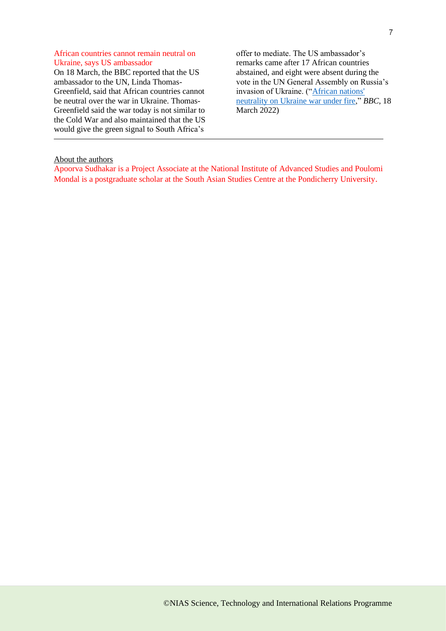# African countries cannot remain neutral on Ukraine, says US ambassador

On 18 March, the BBC reported that the US ambassador to the UN, Linda Thomas-Greenfield, said that African countries cannot be neutral over the war in Ukraine. Thomas-Greenfield said the war today is not similar to the Cold War and also maintained that the US would give the green signal to South Africa's

offer to mediate. The US ambassador's remarks came after 17 African countries abstained, and eight were absent during the vote in the UN General Assembly on Russia's invasion of Ukraine. (["African nations'](https://www.bbc.com/news/live/world-africa-60392384?ns_mchannel=social&ns_source=twitter&ns_campaign=bbc_live&ns_linkname=6234088fec502b53cd482a4f%26African%20nations%27%20neutrality%20on%20Ukraine%20war%20under%20fire%262022-03-18T13%3A23%3A06%2B00%3A00&ns_fee=0&pinned_post_locator=urn:asset:cae23436-77fa-45c7-972c-347983c512d8&pinned_post_asset_id=6234088fec502b53cd482a4f&pinned_post_type=share)  [neutrality on Ukraine war under fire,](https://www.bbc.com/news/live/world-africa-60392384?ns_mchannel=social&ns_source=twitter&ns_campaign=bbc_live&ns_linkname=6234088fec502b53cd482a4f%26African%20nations%27%20neutrality%20on%20Ukraine%20war%20under%20fire%262022-03-18T13%3A23%3A06%2B00%3A00&ns_fee=0&pinned_post_locator=urn:asset:cae23436-77fa-45c7-972c-347983c512d8&pinned_post_asset_id=6234088fec502b53cd482a4f&pinned_post_type=share)" *BBC*, 18 March 2022)

# About the authors

Apoorva Sudhakar is a Project Associate at the National Institute of Advanced Studies and Poulomi Mondal is a postgraduate scholar at the South Asian Studies Centre at the Pondicherry University.